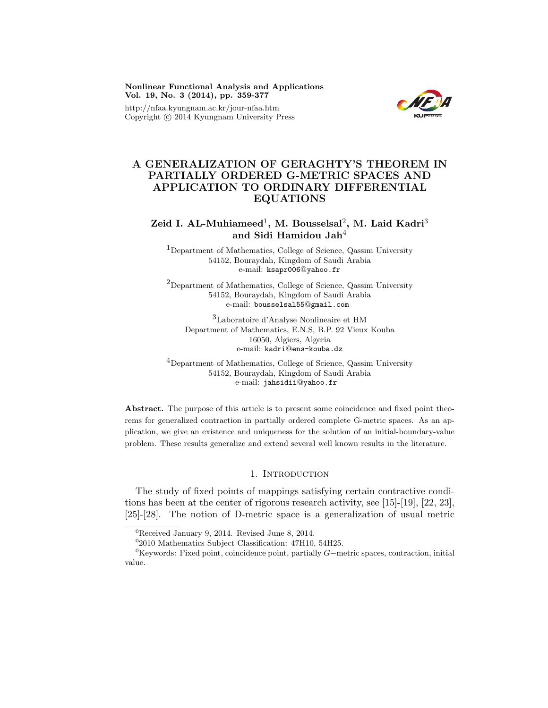Nonlinear Functional Analysis and Applications Vol. 19, No. 3 (2014), pp. 359-377

http://nfaa.kyungnam.ac.kr/jour-nfaa.htm Copyright  $\odot$  2014 Kyungnam University Press



# A GENERALIZATION OF GERAGHTY'S THEOREM IN PARTIALLY ORDERED G-METRIC SPACES AND APPLICATION TO ORDINARY DIFFERENTIAL EQUATIONS

# Zeid I. AL-Muhiameed<sup>1</sup>, M. Bousselsal<sup>2</sup>, M. Laid Kadri<sup>3</sup> and Sidi Hamidou Jah<sup>4</sup>

<sup>1</sup>Department of Mathematics, College of Science, Qassim University 54152, Bouraydah, Kingdom of Saudi Arabia e-mail: ksapr006@yahoo.fr

<sup>2</sup>Department of Mathematics, College of Science, Qassim University 54152, Bouraydah, Kingdom of Saudi Arabia e-mail: bousselsal55@gmail.com

<sup>3</sup>Laboratoire d'Analyse Nonlineaire et HM Department of Mathematics, E.N.S, B.P. 92 Vieux Kouba 16050, Algiers, Algeria e-mail: kadri@ens-kouba.dz

<sup>4</sup>Department of Mathematics, College of Science, Qassim University 54152, Bouraydah, Kingdom of Saudi Arabia e-mail: jahsidii@yahoo.fr

Abstract. The purpose of this article is to present some coincidence and fixed point theorems for generalized contraction in partially ordered complete G-metric spaces. As an application, we give an existence and uniqueness for the solution of an initial-boundary-value problem. These results generalize and extend several well known results in the literature.

### 1. INTRODUCTION

The study of fixed points of mappings satisfying certain contractive conditions has been at the center of rigorous research activity, see [15]-[19], [22, 23], [25]-[28]. The notion of D-metric space is a generalization of usual metric

<sup>0</sup>Keywords: Fixed point, coincidence point, partially G−metric spaces, contraction, initial value.

<sup>0</sup>Received January 9, 2014. Revised June 8, 2014.

<sup>0</sup> 2010 Mathematics Subject Classification: 47H10, 54H25.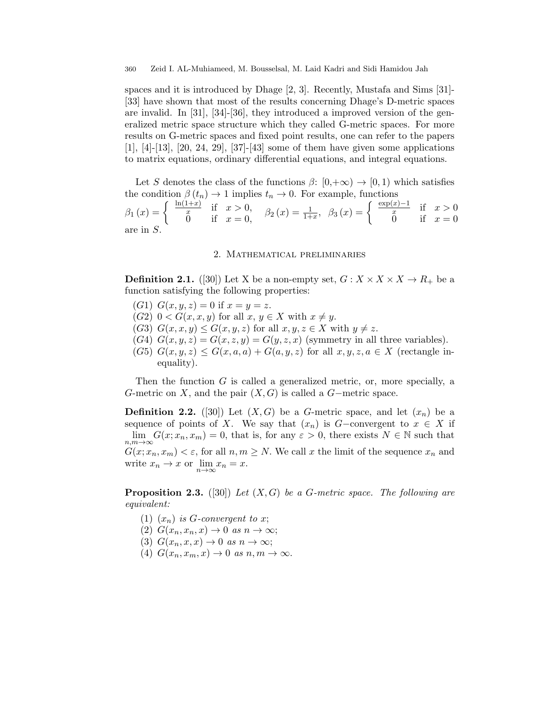spaces and it is introduced by Dhage [2, 3]. Recently, Mustafa and Sims [31]- [33] have shown that most of the results concerning Dhage's D-metric spaces are invalid. In  $[31]$ ,  $[34]$ - $[36]$ , they introduced a improved version of the generalized metric space structure which they called G-metric spaces. For more results on G-metric spaces and fixed point results, one can refer to the papers [1], [4]-[13], [20, 24, 29], [37]-[43] some of them have given some applications to matrix equations, ordinary differential equations, and integral equations.

Let S denotes the class of the functions  $\beta: [0,+\infty) \to [0,1)$  which satisfies the condition  $\beta(t_n) \to 1$  implies  $t_n \to 0$ . For example, functions

 $\beta_1(x) = \begin{cases} \frac{\ln(1+x)}{x} & \text{if } x > 0, \\ 0 & \text{if } x > 0. \end{cases}$  $\frac{d(x+1)}{dx}$  if  $x > 0$ ,  $\beta_2(x) = \frac{1}{1+x}$ ,  $\beta_3(x) = \begin{cases} \frac{\exp(x)-1}{x} & \text{if } x > 0 \\ 0 & \text{if } x = 0 \end{cases}$ 0 if  $x = 0$ are in S.

#### 2. Mathematical preliminaries

**Definition 2.1.** ([30]) Let X be a non-empty set,  $G: X \times X \times X \to R_+$  be a function satisfying the following properties:

- (G1)  $G(x, y, z) = 0$  if  $x = y = z$ .
- $(G2)$  0 <  $G(x, x, y)$  for all  $x, y \in X$  with  $x \neq y$ .
- (G3)  $G(x, x, y) \le G(x, y, z)$  for all  $x, y, z \in X$  with  $y \ne z$ .
- (G4)  $G(x, y, z) = G(x, z, y) = G(y, z, x)$  (symmetry in all three variables).
- (G5)  $G(x, y, z) \leq G(x, a, a) + G(a, y, z)$  for all  $x, y, z, a \in X$  (rectangle inequality).

Then the function  $G$  is called a generalized metric, or, more specially, a G-metric on X, and the pair  $(X, G)$  is called a G-metric space.

**Definition 2.2.** ([30]) Let  $(X, G)$  be a G-metric space, and let  $(x_n)$  be a sequence of points of X. We say that  $(x_n)$  is G-convergent to  $x \in X$  if  $\lim_{n,m\to\infty} G(x; x_n, x_m) = 0$ , that is, for any  $\varepsilon > 0$ , there exists  $N \in \mathbb{N}$  such that  $G(x; x_n, x_m) < \varepsilon$ , for all  $n, m \geq N$ . We call x the limit of the sequence  $x_n$  and write  $x_n \to x$  or  $\lim_{n \to \infty} x_n = x$ .

**Proposition 2.3.** ([30]) Let  $(X, G)$  be a G-metric space. The following are equivalent:

- (1)  $(x_n)$  is G-convergent to x;
- (2)  $G(x_n, x_n, x) \rightarrow 0$  as  $n \rightarrow \infty$ ;
- (3)  $G(x_n, x, x) \rightarrow 0$  as  $n \rightarrow \infty$ ;
- (4)  $G(x_n, x_m, x) \rightarrow 0$  as  $n, m \rightarrow \infty$ .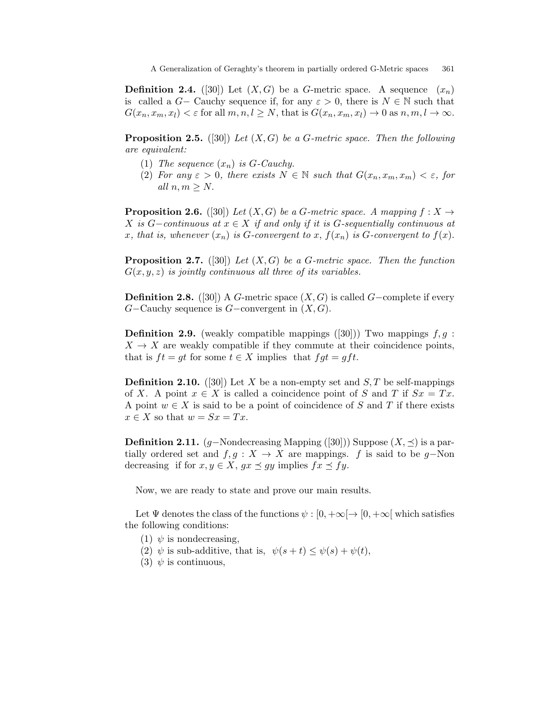**Definition 2.4.** ([30]) Let  $(X, G)$  be a G-metric space. A sequence  $(x_n)$ is called a  $G-$  Cauchy sequence if, for any  $\varepsilon > 0$ , there is  $N \in \mathbb{N}$  such that  $G(x_n, x_m, x_l) < \varepsilon$  for all  $m, n, l \geq N$ , that is  $G(x_n, x_m, x_l) \to 0$  as  $n, m, l \to \infty$ .

**Proposition 2.5.** ([30]) Let  $(X, G)$  be a G-metric space. Then the following are equivalent:

- (1) The sequence  $(x_n)$  is G-Cauchy.
- (2) For any  $\varepsilon > 0$ , there exists  $N \in \mathbb{N}$  such that  $G(x_n, x_m, x_m) < \varepsilon$ , for all  $n, m \geq N$ .

**Proposition 2.6.** ([30]) Let  $(X, G)$  be a G-metric space. A mapping  $f: X \rightarrow$ X is G-continuous at  $x \in X$  if and only if it is G-sequentially continuous at x, that is, whenever  $(x_n)$  is G-convergent to x,  $f(x_n)$  is G-convergent to  $f(x)$ .

**Proposition 2.7.** ([30]) Let  $(X, G)$  be a G-metric space. Then the function  $G(x, y, z)$  is jointly continuous all three of its variables.

**Definition 2.8.** ([30]) A G-metric space  $(X, G)$  is called G-complete if every  $G$ –Cauchy sequence is  $G$ –convergent in  $(X, G)$ .

**Definition 2.9.** (weakly compatible mappings  $([30])$ ) Two mappings  $f, g$ :  $X \to X$  are weakly compatible if they commute at their coincidence points, that is  $ft = gt$  for some  $t \in X$  implies that  $fgt = gft$ .

**Definition 2.10.** ([30]) Let X be a non-empty set and  $S$ , T be self-mappings of X. A point  $x \in X$  is called a coincidence point of S and T if  $Sx = Tx$ . A point  $w \in X$  is said to be a point of coincidence of S and T if there exists  $x \in X$  so that  $w = Sx = Tx$ .

**Definition 2.11.** (g–Nondecreasing Mapping ([30])) Suppose  $(X, \preceq)$  is a partially ordered set and  $f, g : X \to X$  are mappings. f is said to be g-Non decreasing if for  $x, y \in X$ ,  $gx \preceq gy$  implies  $fx \preceq fy$ .

Now, we are ready to state and prove our main results.

Let  $\Psi$  denotes the class of the functions  $\psi : [0, +\infty) \to [0, +\infty]$  which satisfies the following conditions:

- (1)  $\psi$  is nondecreasing,
- (2)  $\psi$  is sub-additive, that is,  $\psi(s+t) \leq \psi(s) + \psi(t)$ ,
- (3)  $\psi$  is continuous,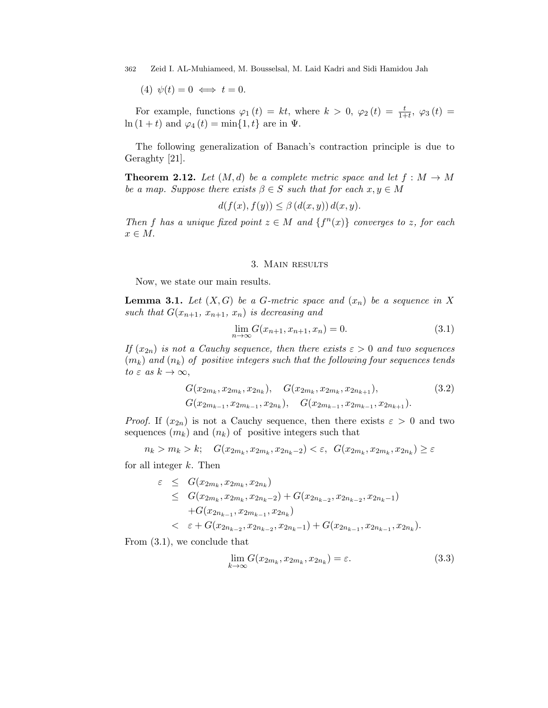(4)  $\psi(t) = 0 \iff t = 0.$ 

For example, functions  $\varphi_1(t) = kt$ , where  $k > 0$ ,  $\varphi_2(t) = \frac{t}{1+t}$ ,  $\varphi_3(t) =$  $\ln(1+t)$  and  $\varphi_4(t) = \min\{1, t\}$  are in  $\Psi$ .

The following generalization of Banach's contraction principle is due to Geraghty [21].

**Theorem 2.12.** Let  $(M, d)$  be a complete metric space and let  $f : M \to M$ be a map. Suppose there exists  $\beta \in S$  such that for each  $x, y \in M$ 

$$
d(f(x), f(y)) \le \beta (d(x, y)) d(x, y).
$$

Then f has a unique fixed point  $z \in M$  and  $\{f^{(n)}(x)\}$  converges to z, for each  $x \in M$ .

## 3. Main results

Now, we state our main results.

**Lemma 3.1.** Let  $(X, G)$  be a G-metric space and  $(x_n)$  be a sequence in X such that  $G(x_{n+1}, x_{n+1}, x_n)$  is decreasing and

$$
\lim_{n \to \infty} G(x_{n+1}, x_{n+1}, x_n) = 0.
$$
\n(3.1)

If  $(x_{2n})$  is not a Cauchy sequence, then there exists  $\varepsilon > 0$  and two sequences  $(m_k)$  and  $(n_k)$  of positive integers such that the following four sequences tends to  $\varepsilon$  as  $k \to \infty$ ,

$$
G(x_{2m_k}, x_{2m_k}, x_{2n_k}), \quad G(x_{2m_k}, x_{2m_k}, x_{2n_{k+1}}), \quad (3.2)
$$

$$
G(x_{2m_{k-1}}, x_{2m_{k-1}}, x_{2n_k}), \quad G(x_{2m_{k-1}}, x_{2m_{k-1}}, x_{2n_{k+1}}).
$$

*Proof.* If  $(x_{2n})$  is not a Cauchy sequence, then there exists  $\varepsilon > 0$  and two sequences  $(m_k)$  and  $(n_k)$  of positive integers such that

$$
n_k > m_k > k; \quad G(x_{2m_k}, x_{2m_k}, x_{2n_k-2}) < \varepsilon, \ \ G(x_{2m_k}, x_{2m_k}, x_{2n_k}) \ge \varepsilon
$$

for all integer  $k$ . Then

$$
\varepsilon \leq G(x_{2m_k}, x_{2m_k}, x_{2n_k})
$$
\n
$$
\leq G(x_{2m_k}, x_{2m_k}, x_{2n_k-2}) + G(x_{2n_{k-2}}, x_{2n_{k-2}}, x_{2n_k-1})
$$
\n
$$
+ G(x_{2n_{k-1}}, x_{2m_{k-1}}, x_{2n_k})
$$
\n
$$
\varepsilon + G(x_{2n_{k-2}}, x_{2n_{k-2}}, x_{2n_{k-1}}) + G(x_{2n_{k-1}}, x_{2n_{k-1}}, x_{2n_k}).
$$

From (3.1), we conclude that

$$
\lim_{k \to \infty} G(x_{2m_k}, x_{2m_k}, x_{2n_k}) = \varepsilon. \tag{3.3}
$$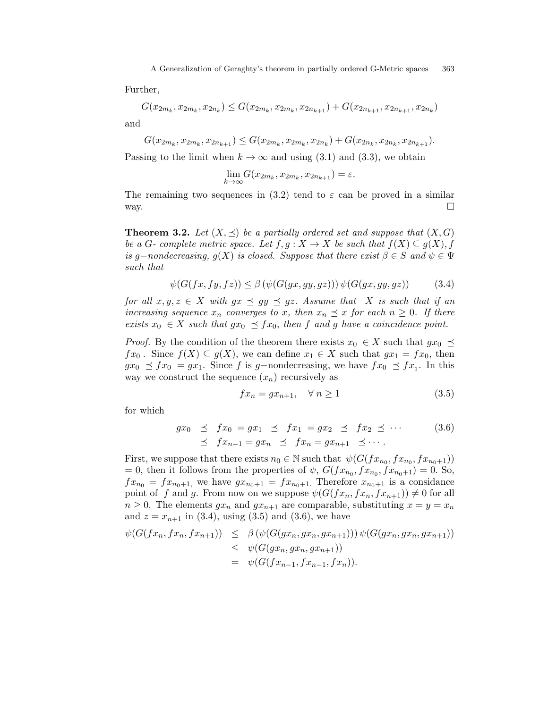Further,

$$
G(x_{2m_k}, x_{2m_k}, x_{2n_k}) \le G(x_{2m_k}, x_{2m_k}, x_{2n_{k+1}}) + G(x_{2n_{k+1}}, x_{2n_{k+1}}, x_{2n_k})
$$

and

 $G(x_{2m_k}, x_{2m_k}, x_{2n_{k+1}}) \le G(x_{2m_k}, x_{2m_k}, x_{2n_k}) + G(x_{2n_k}, x_{2n_k}, x_{2n_{k+1}}).$ 

Passing to the limit when  $k \to \infty$  and using (3.1) and (3.3), we obtain

$$
\lim_{k \to \infty} G(x_{2m_k}, x_{2m_k}, x_{2n_{k+1}}) = \varepsilon.
$$

The remaining two sequences in (3.2) tend to  $\varepsilon$  can be proved in a similar way.  $\Box$ 

**Theorem 3.2.** Let  $(X, \leq)$  be a partially ordered set and suppose that  $(X, G)$ be a G- complete metric space. Let  $f, g: X \to X$  be such that  $f(X) \subseteq g(X)$ , f is g-nondecreasing,  $g(X)$  is closed. Suppose that there exist  $\beta \in S$  and  $\psi \in \Psi$ such that

$$
\psi(G(fx, fy, fz)) \le \beta \left(\psi(G(gx, gy, gz))\right) \psi(G(gx, gy, gz))\tag{3.4}
$$

for all  $x, y, z \in X$  with  $gx \preceq gy \preceq gz$ . Assume that X is such that if an increasing sequence  $x_n$  converges to x, then  $x_n \preceq x$  for each  $n \geq 0$ . If there exists  $x_0 \in X$  such that  $gx_0 \preceq fx_0$ , then f and g have a coincidence point.

*Proof.* By the condition of the theorem there exists  $x_0 \in X$  such that  $gx_0 \preceq$  $fx_0$ . Since  $f(X) \subseteq g(X)$ , we can define  $x_1 \in X$  such that  $gx_1 = fx_0$ , then  $gx_0 \preceq fx_0 = gx_1$ . Since f is g-nondecreasing, we have  $fx_0 \preceq fx_1$ . In this way we construct the sequence  $(x_n)$  recursively as

$$
fx_n = gx_{n+1}, \quad \forall n \ge 1 \tag{3.5}
$$

for which

$$
gx_0 \preceq fx_0 = gx_1 \preceq fx_1 = gx_2 \preceq fx_2 \preceq \cdots \tag{3.6}
$$
  

$$
\preceq fx_{n-1} = gx_n \preceq fx_n = gx_{n+1} \preceq \cdots
$$

First, we suppose that there exists  $n_0 \in \mathbb{N}$  such that  $\psi(G(f_{x_{n_0}}, fx_{n_0+1}))$ = 0, then it follows from the properties of  $\psi$ ,  $G(fx_{n_0}, fx_{n_0+1}) = 0$ . So,  $fx_{n_0} = fx_{n_0+1}$ , we have  $gx_{n_0+1} = fx_{n_0+1}$ . Therefore  $x_{n_0+1}$  is a considance point of f and g. From now on we suppose  $\psi(G(fx_n, fx_{n+1})) \neq 0$  for all  $n \geq 0$ . The elements  $gx_n$  and  $gx_{n+1}$  are comparable, substituting  $x = y = x_n$ and  $z = x_{n+1}$  in (3.4), using (3.5) and (3.6), we have

$$
\psi(G(fx_n, fx_n, fx_{n+1})) \leq \beta (\psi(G(gx_n, gx_n, gx_{n+1}))) \psi(G(gx_n, gx_n, gx_{n+1})) \leq \psi(G(gx_n, gx_n, gx_{n+1})) \n= \psi(G(fx_{n-1}, fx_{n-1}, fx_n)).
$$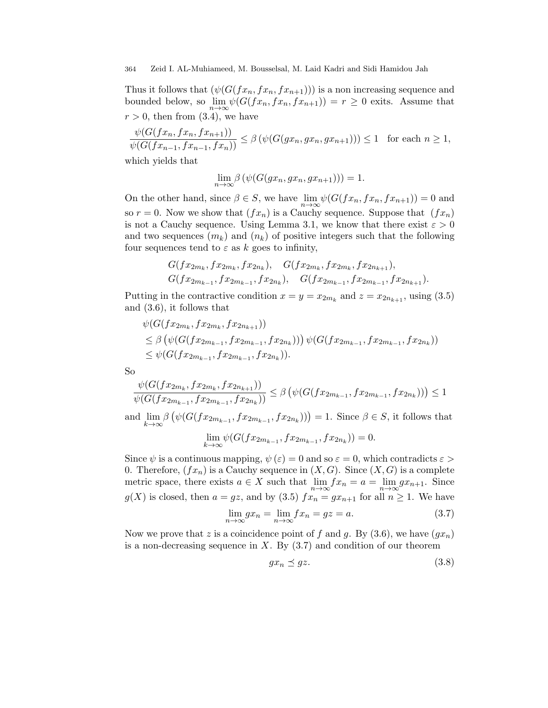Thus it follows that  $(\psi(G(fx_n, fx_{n+1})))$  is a non increasing sequence and bounded below, so  $\lim_{n\to\infty} \psi(G(fx_n, fx_{n+1})) = r \geq 0$  exits. Assume that  $r > 0$ , then from  $(3.4)$ , we have

$$
\frac{\psi(G(fx_n, fx_n, fx_{n+1}))}{\psi(G(fx_{n-1}, fx_{n-1}, fx_n))} \le \beta \left(\psi(G(gx_n, gx_n, gx_{n+1}))\right) \le 1 \text{ for each } n \ge 1,
$$

which yields that

$$
\lim_{n \to \infty} \beta\left(\psi(G(gx_n, gx_n, gx_{n+1}))\right) = 1.
$$

On the other hand, since  $\beta \in S$ , we have  $\lim_{n \to \infty} \psi(G(fx_n, fx_{n+1})) = 0$  and so  $r = 0$ . Now we show that  $(fx_n)$  is a Cauchy sequence. Suppose that  $(fx_n)$ is not a Cauchy sequence. Using Lemma 3.1, we know that there exist  $\varepsilon > 0$ and two sequences  $(m_k)$  and  $(n_k)$  of positive integers such that the following four sequences tend to  $\varepsilon$  as k goes to infinity,

$$
G(fx_{2m_k}, fx_{2m_k}, fx_{2n_k}), G(fx_{2m_k}, fx_{2m_k}, fx_{2n_{k+1}}),
$$
  
 $G(fx_{2m_{k-1}}, fx_{2m_{k-1}}, fx_{2n_k}), G(fx_{2m_{k-1}}, fx_{2m_{k-1}}, fx_{2n_{k+1}}).$ 

Putting in the contractive condition  $x = y = x_{2m_k}$  and  $z = x_{2n_{k+1}}$ , using (3.5) and (3.6), it follows that

$$
\psi(G(fx_{2m_k}, fx_{2m_k}, fx_{2n_{k+1}}))
$$
\n
$$
\leq \beta \left( \psi(G(fx_{2m_{k-1}}, fx_{2m_{k-1}}, fx_{2n_k})) \right) \psi(G(fx_{2m_{k-1}}, fx_{2m_{k-1}}, fx_{2n_k}))
$$
\n
$$
\leq \psi(G(fx_{2m_{k-1}}, fx_{2m_{k-1}}, fx_{2n_k})).
$$

So

$$
\frac{\psi(G(fx_{2m_k},fx_{2m_k},fx_{2n_{k+1}}))}{\psi(G(fx_{2m_{k-1}},fx_{2m_{k-1}},fx_{2n_k}))} \leq \beta\left(\psi(G(fx_{2m_{k-1}},fx_{2m_{k-1}},fx_{2n_k}))\right) \leq 1
$$

and  $\lim_{k\to\infty} \beta\left(\psi(G(fx_{2m_{k-1}}, fx_{2m_{k-1}}, fx_{2n_k}))\right) = 1$ . Since  $\beta \in S$ , it follows that

$$
\lim_{k \to \infty} \psi(G(fx_{2m_{k-1}}, fx_{2m_{k-1}}, fx_{2n_k})) = 0.
$$

Since  $\psi$  is a continuous mapping,  $\psi(\varepsilon) = 0$  and so  $\varepsilon = 0$ , which contradicts  $\varepsilon >$ 0. Therefore,  $(fx_n)$  is a Cauchy sequence in  $(X, G)$ . Since  $(X, G)$  is a complete metric space, there exists  $a \in X$  such that  $\lim_{n \to \infty} fx_n = a = \lim_{n \to \infty} gx_{n+1}$ . Since  $g(X)$  is closed, then  $a = gz$ , and by (3.5)  $fx_n = gx_{n+1}$  for all  $n \ge 1$ . We have

$$
\lim_{n \to \infty} gx_n = \lim_{n \to \infty} fx_n = gz = a.
$$
\n(3.7)

Now we prove that z is a coincidence point of f and g. By  $(3.6)$ , we have  $(gx_n)$ is a non-decreasing sequence in  $X$ . By  $(3.7)$  and condition of our theorem

$$
gx_n \preceq gz. \tag{3.8}
$$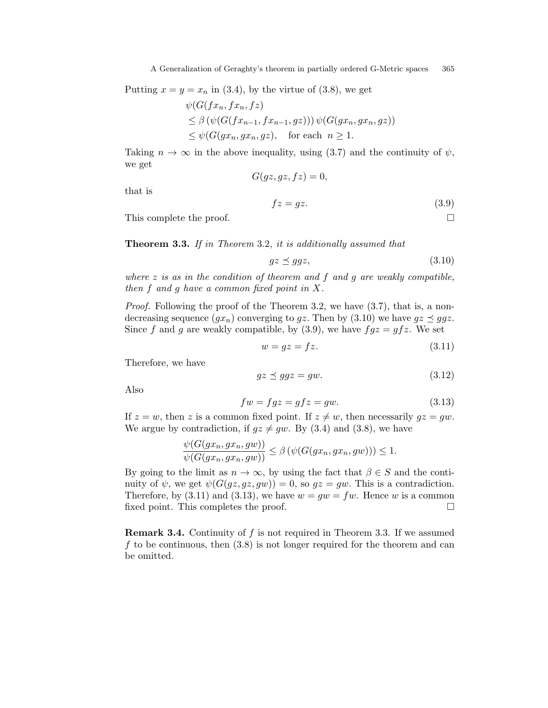Putting  $x = y = x_n$  in (3.4), by the virtue of (3.8), we get

$$
\psi(G(fx_n, fx_n, fz)
$$
  
\n
$$
\leq \beta \left( \psi(G(fx_{n-1}, fx_{n-1}, gz)) \right) \psi(G(gx_n, gx_n, gz))
$$
  
\n
$$
\leq \psi(G(gx_n, gx_n, gz), \text{ for each } n \geq 1.
$$

Taking  $n \to \infty$  in the above inequality, using (3.7) and the continuity of  $\psi$ , we get  $G(gz, gz, fz) = 0,$ 

that is

$$
fz = gz.\tag{3.9}
$$

This complete the proof.

**Theorem 3.3.** If in Theorem 3.2, it is additionally assumed that

$$
gz \preceq ggz,\tag{3.10}
$$

where  $z$  is as in the condition of theorem and  $f$  and  $g$  are weakly compatible, then  $f$  and  $g$  have a common fixed point in  $X$ .

Proof. Following the proof of the Theorem 3.2, we have  $(3.7)$ , that is, a nondecreasing sequence  $(gx_n)$  converging to gz. Then by (3.10) we have  $gz \preceq ggz$ . Since f and g are weakly compatible, by (3.9), we have  $fgz = gfz$ . We set

$$
w = gz = fz.
$$
\n
$$
(3.11)
$$

Therefore, we have

$$
gz \preceq ggz = gw. \tag{3.12}
$$

Also

$$
fw = fgz = gfz = gw.
$$
\n(3.13)

If  $z = w$ , then z is a common fixed point. If  $z \neq w$ , then necessarily  $gz = qw$ . We argue by contradiction, if  $gz \neq gw$ . By (3.4) and (3.8), we have

$$
\frac{\psi(G(gx_n, gx_n, gw))}{\psi(G(gx_n, gx_n, gw))} \leq \beta \left(\psi(G(gx_n, gx_n, gw))\right) \leq 1.
$$

By going to the limit as  $n \to \infty$ , by using the fact that  $\beta \in S$  and the continuity of  $\psi$ , we get  $\psi(G(qz, qz, qw)) = 0$ , so  $qz = qw$ . This is a contradiction. Therefore, by  $(3.11)$  and  $(3.13)$ , we have  $w = gw = fw$ . Hence w is a common fixed point. This completes the proof.

**Remark 3.4.** Continuity of f is not required in Theorem 3.3. If we assumed f to be continuous, then  $(3.8)$  is not longer required for the theorem and can be omitted.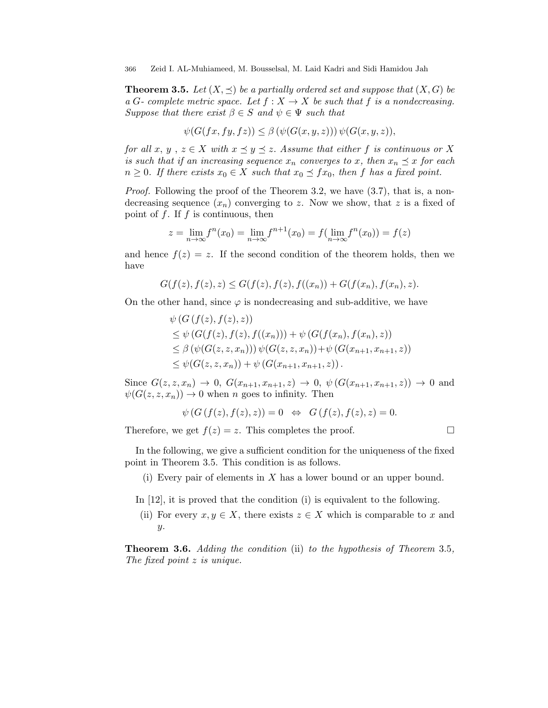**Theorem 3.5.** Let  $(X, \preceq)$  be a partially ordered set and suppose that  $(X, G)$  be a G- complete metric space. Let  $f : X \to X$  be such that f is a nondecreasing. Suppose that there exist  $\beta \in S$  and  $\psi \in \Psi$  such that

$$
\psi(G(fx, fy, fz)) \leq \beta\left(\psi(G(x, y, z))\right)\psi(G(x, y, z)),
$$

for all x, y,  $z \in X$  with  $x \preceq y \preceq z$ . Assume that either f is continuous or X is such that if an increasing sequence  $x_n$  converges to x, then  $x_n \preceq x$  for each  $n \geq 0$ . If there exists  $x_0 \in X$  such that  $x_0 \preceq fx_0$ , then f has a fixed point.

Proof. Following the proof of the Theorem 3.2, we have  $(3.7)$ , that is, a nondecreasing sequence  $(x_n)$  converging to z. Now we show, that z is a fixed of point of  $f$ . If  $f$  is continuous, then

$$
z = \lim_{n \to \infty} f^{n}(x_0) = \lim_{n \to \infty} f^{n+1}(x_0) = f(\lim_{n \to \infty} f^{n}(x_0)) = f(z)
$$

and hence  $f(z) = z$ . If the second condition of the theorem holds, then we have

$$
G(f(z), f(z), z) \le G(f(z), f(z), f((x_n)) + G(f(x_n), f(x_n), z).
$$

On the other hand, since  $\varphi$  is nondecreasing and sub-additive, we have

$$
\psi(G(f(z), f(z), z))
$$
\n
$$
\leq \psi(G(f(z), f(z), f((x_n))) + \psi(G(f(x_n), f(x_n), z))
$$
\n
$$
\leq \beta(\psi(G(z, z, x_n))) \psi(G(z, z, x_n)) + \psi(G(x_{n+1}, x_{n+1}, z))
$$
\n
$$
\leq \psi(G(z, z, x_n)) + \psi(G(x_{n+1}, x_{n+1}, z)).
$$

Since  $G(z, z, x_n) \to 0$ ,  $G(x_{n+1}, x_{n+1}, z) \to 0$ ,  $\psi(G(x_{n+1}, x_{n+1}, z)) \to 0$  and  $\psi(G(z, z, x_n)) \to 0$  when *n* goes to infinity. Then

$$
\psi(G(f(z), f(z), z)) = 0 \Leftrightarrow G(f(z), f(z), z) = 0.
$$

Therefore, we get  $f(z) = z$ . This completes the proof.

In the following, we give a sufficient condition for the uniqueness of the fixed point in Theorem 3.5. This condition is as follows.

(i) Every pair of elements in  $X$  has a lower bound or an upper bound.

In [12], it is proved that the condition (i) is equivalent to the following.

(ii) For every  $x, y \in X$ , there exists  $z \in X$  which is comparable to x and  $y$ .

Theorem 3.6. Adding the condition (ii) to the hypothesis of Theorem 3.5, The fixed point z is unique.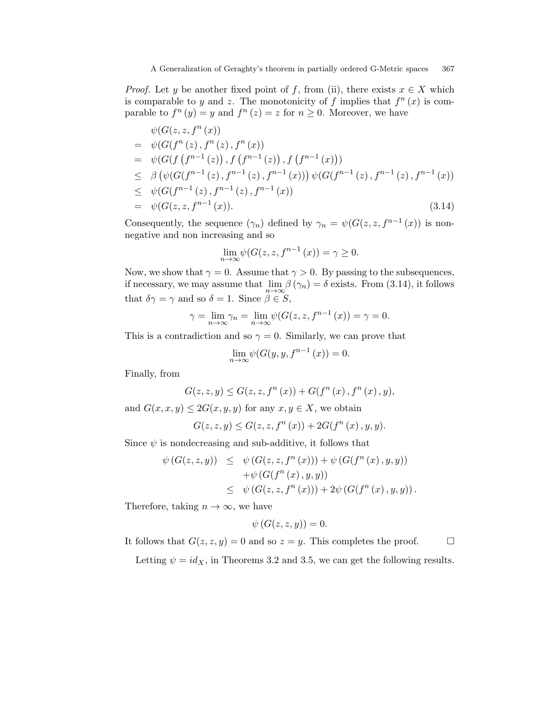*Proof.* Let y be another fixed point of f, from (ii), there exists  $x \in X$  which is comparable to y and z. The monotonicity of f implies that  $f^{n}(x)$  is comparable to  $f^{n}(y) = y$  and  $f^{n}(z) = z$  for  $n \ge 0$ . Moreover, we have

$$
\psi(G(z, z, f^{n}(x))\n= \psi(G(f^{n}(z), f^{n}(z), f^{n}(x))\n= \psi(G(f(f^{n-1}(z)), f(f^{n-1}(z)), f(f^{n-1}(x)))\n\leq \beta (\psi(G(f^{n-1}(z), f^{n-1}(z), f^{n-1}(x))) \psi(G(f^{n-1}(z), f^{n-1}(x))\n\leq \psi(G(f^{n-1}(z), f^{n-1}(z), f^{n-1}(x))\n= \psi(G(z, z, f^{n-1}(x)). \n(3.14)
$$

Consequently, the sequence  $(\gamma_n)$  defined by  $\gamma_n = \psi(G(z, z, f^{n-1}(x))$  is nonnegative and non increasing and so

$$
\lim_{n \to \infty} \psi(G(z, z, f^{n-1}(x)) = \gamma \ge 0.
$$

Now, we show that  $\gamma = 0$ . Assume that  $\gamma > 0$ . By passing to the subsequences, if necessary, we may assume that  $\lim_{n\to\infty} \beta(\gamma_n) = \delta$  exists. From (3.14), it follows that  $\delta \gamma = \gamma$  and so  $\delta = 1$ . Since  $\beta \in S$ ,

$$
\gamma = \lim_{n \to \infty} \gamma_n = \lim_{n \to \infty} \psi(G(z, z, f^{n-1}(x)) = \gamma = 0.
$$

This is a contradiction and so  $\gamma = 0$ . Similarly, we can prove that

$$
\lim_{n \to \infty} \psi(G(y, y, f^{n-1}(x))) = 0.
$$

Finally, from

$$
G(z, z, y) \le G(z, z, f^{n}(x)) + G(f^{n}(x), f^{n}(x), y),
$$

and  $G(x, x, y) \leq 2G(x, y, y)$  for any  $x, y \in X$ , we obtain

$$
G(z, z, y) \le G(z, z, f^{n}(x)) + 2G(f^{n}(x), y, y).
$$

Since  $\psi$  is nondecreasing and sub-additive, it follows that

$$
\psi\left(G(z,z,y)\right) \leq \psi\left(G(z,z,f^{n}(x))\right) + \psi\left(G(f^{n}(x),y,y)\right)
$$

$$
+ \psi\left(G(f^{n}(x),y,y)\right)
$$

$$
\leq \psi\left(G(z,z,f^{n}(x))\right) + 2\psi\left(G(f^{n}(x),y,y)\right).
$$

Therefore, taking  $n \to \infty$ , we have

$$
\psi(G(z, z, y)) = 0.
$$

It follows that  $G(z, z, y) = 0$  and so  $z = y$ . This completes the proof.  $\Box$ 

Letting  $\psi = id_X$ , in Theorems 3.2 and 3.5, we can get the following results.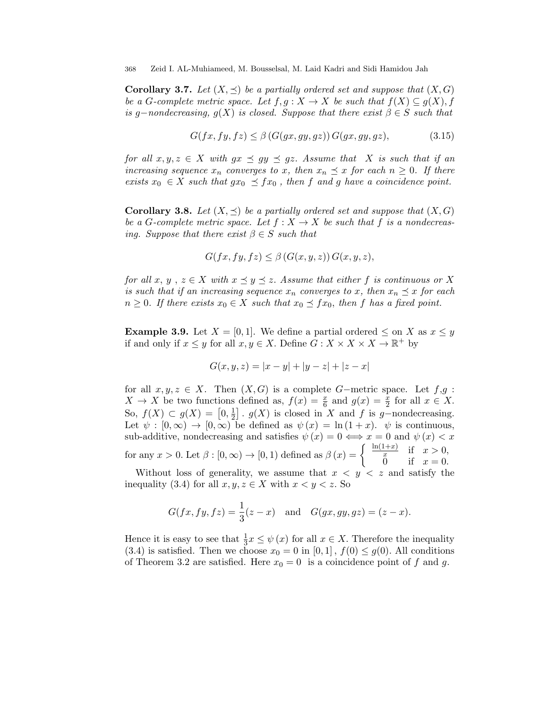**Corollary 3.7.** Let  $(X, \preceq)$  be a partially ordered set and suppose that  $(X, G)$ be a G-complete metric space. Let  $f, g: X \to X$  be such that  $f(X) \subseteq g(X), f$ is g-nondecreasing,  $g(X)$  is closed. Suppose that there exist  $\beta \in S$  such that

$$
G(fx, fy, fz) \leq \beta \left( G(gx, gy, gz) \right) G(gx, gy, gz), \tag{3.15}
$$

for all  $x, y, z \in X$  with  $gx \preceq gy \preceq gz$ . Assume that X is such that if an increasing sequence  $x_n$  converges to x, then  $x_n \preceq x$  for each  $n \geq 0$ . If there exists  $x_0 \in X$  such that  $gx_0 \preceq fx_0$ , then f and g have a coincidence point.

**Corollary 3.8.** Let  $(X, \preceq)$  be a partially ordered set and suppose that  $(X, G)$ be a G-complete metric space. Let  $f: X \to X$  be such that f is a nondecreasing. Suppose that there exist  $\beta \in S$  such that

$$
G(fx, fy, fz) \leq \beta(G(x, y, z))G(x, y, z),
$$

for all x, y,  $z \in X$  with  $x \preceq y \preceq z$ . Assume that either f is continuous or X is such that if an increasing sequence  $x_n$  converges to x, then  $x_n \preceq x$  for each  $n \geq 0$ . If there exists  $x_0 \in X$  such that  $x_0 \preceq fx_0$ , then f has a fixed point.

**Example 3.9.** Let  $X = [0, 1]$ . We define a partial ordered  $\leq$  on X as  $x \leq y$ if and only if  $x \leq y$  for all  $x, y \in X$ . Define  $G: X \times X \times X \to \mathbb{R}^+$  by

$$
G(x, y, z) = |x - y| + |y - z| + |z - x|
$$

for all  $x, y, z \in X$ . Then  $(X, G)$  is a complete G-metric space. Let  $f, g$ :  $X \to X$  be two functions defined as,  $f(x) = \frac{x}{6}$  and  $g(x) = \frac{x}{2}$  for all  $x \in X$ . So,  $f(X) \subset g(X) = \left[0, \frac{1}{2}\right]$  $\frac{1}{2}$ .  $g(X)$  is closed in X and f is g-nondecreasing. Let  $\psi : [0, \infty) \to [0, \infty)$  be defined as  $\psi(x) = \ln(1+x)$ .  $\psi$  is continuous, sub-additive, nondecreasing and satisfies  $\psi(x) = 0 \iff x = 0$  and  $\psi(x) < x$ for any  $x > 0$ . Let  $\beta : [0, \infty) \to [0, 1)$  defined as  $\beta(x) = \begin{cases} \frac{\ln(1+x)}{x} & \text{if } x > 0, \\ 0 & \text{if } x > 0. \end{cases}$ 0 if  $x = 0$ .

Without loss of generality, we assume that  $x < y < z$  and satisfy the inequality (3.4) for all  $x, y, z \in X$  with  $x < y < z$ . So

$$
G(fx, fy, fz) = \frac{1}{3}(z - x)
$$
 and  $G(gx, gy, gz) = (z - x)$ .

Hence it is easy to see that  $\frac{1}{3}x \leq \psi(x)$  for all  $x \in X$ . Therefore the inequality (3.4) is satisfied. Then we choose  $x_0 = 0$  in [0, 1],  $f(0) \leq g(0)$ . All conditions of Theorem 3.2 are satisfied. Here  $x_0 = 0$  is a coincidence point of f and g.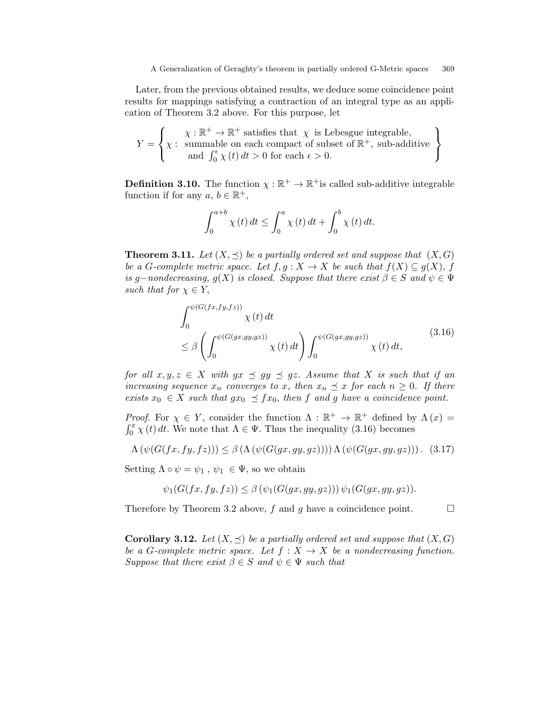Later, from the previous obtained results, we deduce some coincidence point results for mappings satisfying a contraction of an integral type as an application of Theorem 3.2 above. For this purpose, let

$$
Y = \left\{ \chi : \mathbb{R}^+ \to \mathbb{R}^+ \text{ satisfies that } \chi \text{ is Lebesgue integrable,} \atop \text{and } \int_0^{\epsilon} \chi(t) dt > 0 \text{ for each } \epsilon > 0.
$$

**Definition 3.10.** The function  $\chi : \mathbb{R}^+ \to \mathbb{R}^+$  is called sub-additive integrable function if for any  $a, b \in \mathbb{R}^+$ ,

$$
\int_0^{a+b} \chi(t) dt \le \int_0^a \chi(t) dt + \int_0^b \chi(t) dt.
$$

**Theorem 3.11.** Let  $(X, \preceq)$  be a partially ordered set and suppose that  $(X, G)$ be a G-complete metric space. Let  $f, g: X \to X$  be such that  $f(X) \subseteq g(X)$ , f is g-nondecreasing,  $g(X)$  is closed. Suppose that there exist  $\beta \in S$  and  $\psi \in \Psi$ such that for  $\chi \in Y$ ,

$$
\int_0^{\psi(G(fx, fy, fz))} \chi(t) dt
$$
\n
$$
\leq \beta \left( \int_0^{\psi(G(gx, gy, gz))} \chi(t) dt \right) \int_0^{\psi(G(gx, gy, gz))} \chi(t) dt,
$$
\n(3.16)

for all  $x, y, z \in X$  with  $gx \preceq gy \preceq gz$ . Assume that X is such that if an increasing sequence  $x_n$  converges to x, then  $x_n \preceq x$  for each  $n \geq 0$ . If there exists  $x_0 \in X$  such that  $gx_0 \preceq fx_0$ , then f and g have a coincidence point.

*Proof.* For  $\chi \in Y$ , consider the function  $\Lambda : \mathbb{R}^+ \to \mathbb{R}^+$  defined by  $\Lambda(x) =$  $\int_0^x$  $\chi^x_{0} \chi(t) dt$ . We note that  $\Lambda \in \Psi$ . Thus the inequality (3.16) becomes

$$
\Lambda\left(\psi(G(fx, fy, fz))\right) \leq \beta\left(\Lambda\left(\psi(G(gx, gy, gz))\right)\right)\Lambda\left(\psi(G(gx, gy, gz))\right).
$$
 (3.17)

Setting  $\Lambda \circ \psi = \psi_1$ ,  $\psi_1 \in \Psi$ , so we obtain

$$
\psi_1(G(fx, fy, fz)) \leq \beta \left( \psi_1(G(gx, gy, gz)) \right) \psi_1(G(gx, gy, gz)).
$$

Therefore by Theorem 3.2 above, f and g have a coincidence point.  $\Box$ 

**Corollary 3.12.** Let  $(X, \preceq)$  be a partially ordered set and suppose that  $(X, G)$ be a G-complete metric space. Let  $f : X \to X$  be a nondecreasing function. Suppose that there exist  $\beta \in S$  and  $\psi \in \Psi$  such that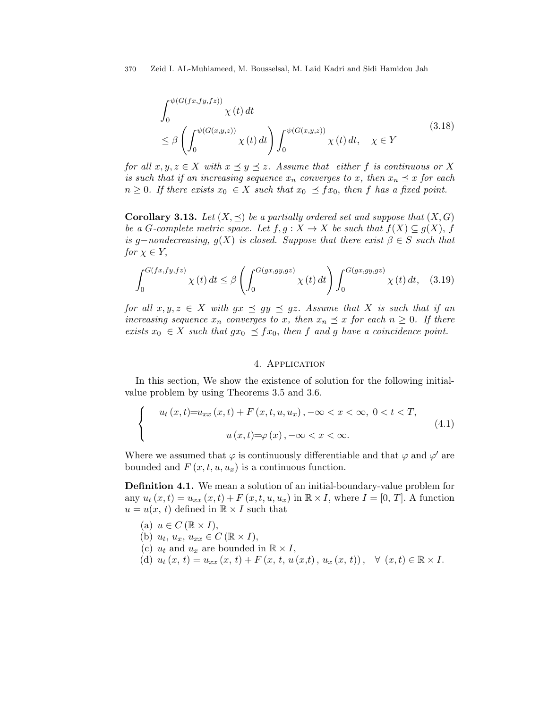$$
\int_0^{\psi(G(fx, fy, fz))} \chi(t) dt
$$
\n
$$
\leq \beta \left( \int_0^{\psi(G(x, y, z))} \chi(t) dt \right) \int_0^{\psi(G(x, y, z))} \chi(t) dt, \quad \chi \in Y
$$
\n(3.18)

for all  $x, y, z \in X$  with  $x \preceq y \preceq z$ . Assume that either f is continuous or X is such that if an increasing sequence  $x_n$  converges to x, then  $x_n \preceq x$  for each  $n \geq 0$ . If there exists  $x_0 \in X$  such that  $x_0 \preceq fx_0$ , then f has a fixed point.

**Corollary 3.13.** Let  $(X, \preceq)$  be a partially ordered set and suppose that  $(X, G)$ be a G-complete metric space. Let  $f, g: X \to X$  be such that  $f(X) \subseteq g(X)$ , f is g-nondecreasing,  $g(X)$  is closed. Suppose that there exist  $\beta \in S$  such that for  $\chi \in Y$ ,

$$
\int_0^{G(fx, fy, fz)} \chi(t) dt \le \beta \left( \int_0^{G(gx, gy, gz)} \chi(t) dt \right) \int_0^{G(gx, gy, gz)} \chi(t) dt, \quad (3.19)
$$

for all  $x, y, z \in X$  with  $gx \preceq gy \preceq gz$ . Assume that X is such that if an increasing sequence  $x_n$  converges to x, then  $x_n \preceq x$  for each  $n \geq 0$ . If there exists  $x_0 \in X$  such that  $gx_0 \preceq fx_0$ , then f and g have a coincidence point.

## 4. Application

In this section, We show the existence of solution for the following initialvalue problem by using Theorems 3.5 and 3.6.

$$
\begin{cases}\n u_t(x,t)=u_{xx}(x,t) + F(x,t,u,u_x), -\infty < x < \infty, \ 0 < t < T, \\
 u(x,t)=\varphi(x), -\infty < x < \infty.\n\end{cases}\n\tag{4.1}
$$

Where we assumed that  $\varphi$  is continuously differentiable and that  $\varphi$  and  $\varphi'$  are bounded and  $F(x, t, u, u_x)$  is a continuous function.

Definition 4.1. We mean a solution of an initial-boundary-value problem for any  $u_t(x,t) = u_{xx}(x,t) + F(x,t,u,u_x)$  in  $\mathbb{R} \times I$ , where  $I = [0, T]$ . A function  $u = u(x, t)$  defined in  $\mathbb{R} \times I$  such that

- (a)  $u \in C (\mathbb{R} \times I),$
- (b)  $u_t, u_x, u_{xx} \in C (\mathbb{R} \times I),$
- (c)  $u_t$  and  $u_x$  are bounded in  $\mathbb{R} \times I$ ,
- (d)  $u_t(x, t) = u_{xx}(x, t) + F(x, t, u(x,t), u_x(x, t)), \forall (x, t) \in \mathbb{R} \times I.$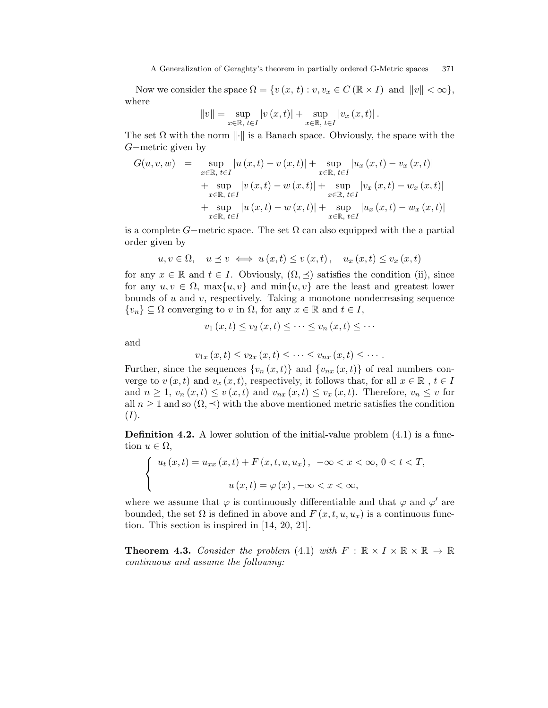#### A Generalization of Geraghty's theorem in partially ordered G-Metric spaces 371

Now we consider the space  $\Omega = \{v(x, t) : v, v_x \in C (\mathbb{R} \times I) \text{ and } ||v|| < \infty \},\$ where

$$
||v|| = \sup_{x \in \mathbb{R}, \ t \in I} |v(x, t)| + \sup_{x \in \mathbb{R}, \ t \in I} |v_x(x, t)|.
$$

The set  $\Omega$  with the norm  $\|\cdot\|$  is a Banach space. Obviously, the space with the G−metric given by

$$
G(u, v, w) = \sup_{x \in \mathbb{R}, t \in I} |u(x, t) - v(x, t)| + \sup_{x \in \mathbb{R}, t \in I} |u_x(x, t) - v_x(x, t)|
$$
  
+ 
$$
\sup_{x \in \mathbb{R}, t \in I} |v(x, t) - w(x, t)| + \sup_{x \in \mathbb{R}, t \in I} |v_x(x, t) - w_x(x, t)|
$$
  
+ 
$$
\sup_{x \in \mathbb{R}, t \in I} |u(x, t) - w(x, t)| + \sup_{x \in \mathbb{R}, t \in I} |u_x(x, t) - w_x(x, t)|
$$

is a complete G−metric space. The set  $\Omega$  can also equipped with the a partial order given by

$$
u, v \in \Omega, \quad u \le v \iff u(x, t) \le v(x, t), \quad u_x(x, t) \le v_x(x, t)
$$

for any  $x \in \mathbb{R}$  and  $t \in I$ . Obviously,  $(\Omega, \preceq)$  satisfies the condition (ii), since for any  $u, v \in \Omega$ ,  $\max\{u, v\}$  and  $\min\{u, v\}$  are the least and greatest lower bounds of  $u$  and  $v$ , respectively. Taking a monotone nondecreasing sequence  $\{v_n\} \subseteq \Omega$  converging to v in  $\Omega$ , for any  $x \in \mathbb{R}$  and  $t \in I$ ,

$$
v_1(x,t) \le v_2(x,t) \le \cdots \le v_n(x,t) \le \cdots
$$

and

$$
v_{1x}(x,t) \le v_{2x}(x,t) \le \cdots \le v_{nx}(x,t) \le \cdots.
$$

Further, since the sequences  $\{v_n(x,t)\}\$  and  $\{v_{nx}(x,t)\}\$  of real numbers converge to  $v(x, t)$  and  $v_x(x, t)$ , respectively, it follows that, for all  $x \in \mathbb{R}$ ,  $t \in I$ and  $n \geq 1$ ,  $v_n(x,t) \leq v(x,t)$  and  $v_{nx}(x,t) \leq v_x(x,t)$ . Therefore,  $v_n \leq v$  for all  $n \geq 1$  and so  $(\Omega, \preceq)$  with the above mentioned metric satisfies the condition  $(I).$ 

**Definition 4.2.** A lower solution of the initial-value problem  $(4.1)$  is a function  $u \in \Omega$ ,

$$
\begin{cases}\n u_t(x,t) = u_{xx}(x,t) + F(x,t,u,u_x), & -\infty < x < \infty, \ 0 < t < T, \\
 u(x,t) = \varphi(x), & -\infty < x < \infty,\n\end{cases}
$$

where we assume that  $\varphi$  is continuously differentiable and that  $\varphi$  and  $\varphi'$  are bounded, the set  $\Omega$  is defined in above and  $F(x, t, u, u_x)$  is a continuous function. This section is inspired in [14, 20, 21].

**Theorem 4.3.** Consider the problem (4.1) with  $F : \mathbb{R} \times I \times \mathbb{R} \times \mathbb{R} \to \mathbb{R}$ continuous and assume the following: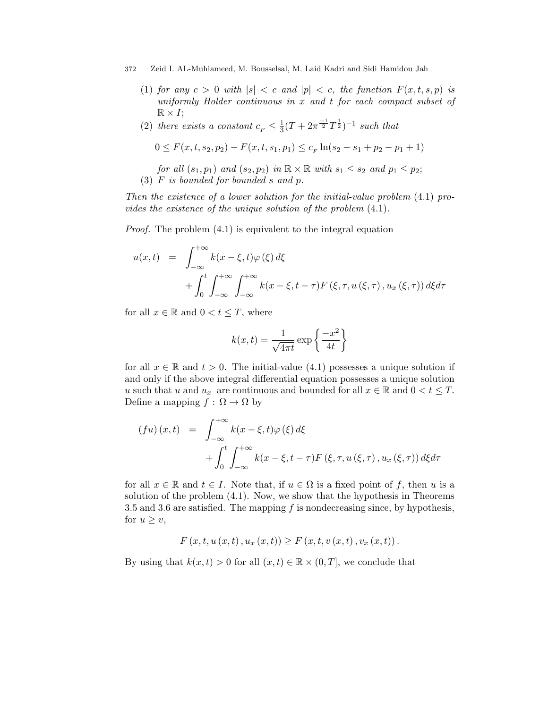- (1) for any  $c > 0$  with  $|s| < c$  and  $|p| < c$ , the function  $F(x, t, s, p)$  is uniformly Holder continuous in x and t for each compact subset of  $\mathbb{R} \times I$ ;
- (2) there exists a constant  $c_F \leq \frac{1}{3}$  $\frac{1}{3}(T + 2\pi^{\frac{-1}{2}}T^{\frac{1}{2}})^{-1}$  such that

$$
0 \le F(x, t, s_2, p_2) - F(x, t, s_1, p_1) \le c_F \ln(s_2 - s_1 + p_2 - p_1 + 1)
$$

for all  $(s_1, p_1)$  and  $(s_2, p_2)$  in  $\mathbb{R} \times \mathbb{R}$  with  $s_1 \leq s_2$  and  $p_1 \leq p_2$ ; (3)  $F$  is bounded for bounded  $s$  and  $p$ .

Then the existence of a lower solution for the initial-value problem (4.1) provides the existence of the unique solution of the problem (4.1).

Proof. The problem (4.1) is equivalent to the integral equation

$$
u(x,t) = \int_{-\infty}^{+\infty} k(x - \xi, t) \varphi(\xi) d\xi
$$
  
+ 
$$
\int_{0}^{t} \int_{-\infty}^{+\infty} \int_{-\infty}^{+\infty} k(x - \xi, t - \tau) F(\xi, \tau, u(\xi, \tau), u_x(\xi, \tau)) d\xi d\tau
$$

for all  $x \in \mathbb{R}$  and  $0 < t \leq T$ , where

$$
k(x,t) = \frac{1}{\sqrt{4\pi t}} \exp\left\{\frac{-x^2}{4t}\right\}
$$

for all  $x \in \mathbb{R}$  and  $t > 0$ . The initial-value (4.1) possesses a unique solution if and only if the above integral differential equation possesses a unique solution u such that u and  $u_x$  are continuous and bounded for all  $x \in \mathbb{R}$  and  $0 < t \leq T$ . Define a mapping  $f : \Omega \to \Omega$  by

$$
(fu)(x,t) = \int_{-\infty}^{+\infty} k(x-\xi,t)\varphi(\xi) d\xi
$$
  
+ 
$$
\int_{0}^{t} \int_{-\infty}^{+\infty} k(x-\xi,t-\tau)F(\xi,\tau,u(\xi,\tau),u_x(\xi,\tau)) d\xi d\tau
$$

for all  $x \in \mathbb{R}$  and  $t \in I$ . Note that, if  $u \in \Omega$  is a fixed point of f, then u is a solution of the problem (4.1). Now, we show that the hypothesis in Theorems 3.5 and 3.6 are satisfied. The mapping  $f$  is nondecreasing since, by hypothesis, for  $u \geq v$ ,

$$
F(x, t, u(x, t), u_x(x, t)) \geq F(x, t, v(x, t), v_x(x, t)).
$$

By using that  $k(x, t) > 0$  for all  $(x, t) \in \mathbb{R} \times (0, T]$ , we conclude that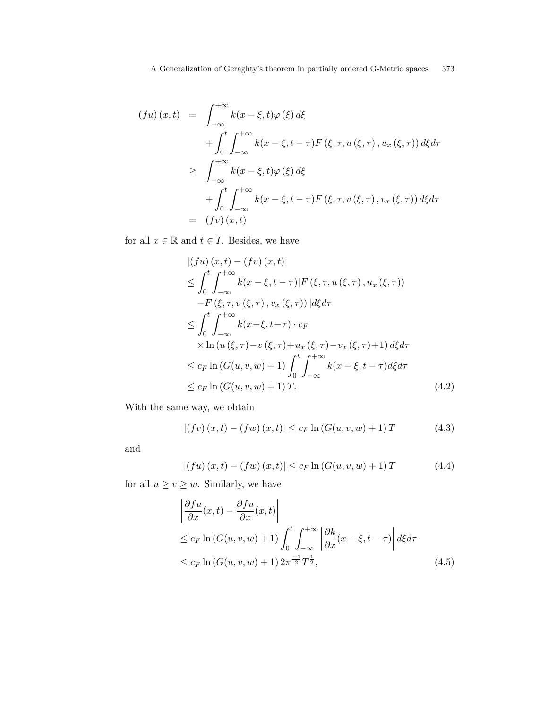$$
(fu)(x,t) = \int_{-\infty}^{+\infty} k(x - \xi, t)\varphi(\xi) d\xi
$$
  
+ 
$$
\int_{0}^{t} \int_{-\infty}^{+\infty} k(x - \xi, t - \tau) F(\xi, \tau, u(\xi, \tau), u_x(\xi, \tau)) d\xi d\tau
$$
  

$$
\geq \int_{-\infty}^{+\infty} k(x - \xi, t)\varphi(\xi) d\xi
$$
  
+ 
$$
\int_{0}^{t} \int_{-\infty}^{+\infty} k(x - \xi, t - \tau) F(\xi, \tau, v(\xi, \tau), v_x(\xi, \tau)) d\xi d\tau
$$
  
= 
$$
(fv)(x, t)
$$

for all  $x \in \mathbb{R}$  and  $t \in I$ . Besides, we have

$$
\begin{split}\n\left|\left(fu\right)\left(x,t\right)-\left(fv\right)\left(x,t\right)\right| \\
&\leq \int_{0}^{t} \int_{-\infty}^{+\infty} k(x-\xi,t-\tau)|F\left(\xi,\tau,u\left(\xi,\tau\right),u_{x}\left(\xi,\tau\right)\right) \\
&\quad -F\left(\xi,\tau,v\left(\xi,\tau\right),v_{x}\left(\xi,\tau\right)\right)|d\xi d\tau \\
&\leq \int_{0}^{t} \int_{-\infty}^{+\infty} k(x-\xi,t-\tau)\cdot c_{F} \\
&\times \ln\left(u\left(\xi,\tau\right)-v\left(\xi,\tau\right)+u_{x}\left(\xi,\tau\right)-v_{x}\left(\xi,\tau\right)+1\right)d\xi d\tau \\
&\leq c_{F} \ln\left(G(u,v,w)+1\right) \int_{0}^{t} \int_{-\infty}^{+\infty} k(x-\xi,t-\tau)d\xi d\tau \\
&\leq c_{F} \ln\left(G(u,v,w)+1\right) T.\n\end{split}
$$
\n
$$
(4.2)
$$

With the same way, we obtain

$$
|(fv)(x,t) - (fw)(x,t)| \le c_F \ln (G(u,v,w) + 1) T
$$
 (4.3)

and

$$
|(fu)(x,t) - (fw)(x,t)| \le c_F \ln (G(u,v,w) + 1) T
$$
 (4.4)

for all  $u \ge v \ge w$ . Similarly, we have

$$
\begin{aligned}\n\left| \frac{\partial fu}{\partial x}(x,t) - \frac{\partial fu}{\partial x}(x,t) \right| \\
&\leq c_F \ln \left( G(u,v,w) + 1 \right) \int_0^t \int_{-\infty}^{+\infty} \left| \frac{\partial k}{\partial x}(x - \xi, t - \tau) \right| d\xi d\tau \\
&\leq c_F \ln \left( G(u,v,w) + 1 \right) 2\pi^{\frac{-1}{2}} T^{\frac{1}{2}},\n\end{aligned} \tag{4.5}
$$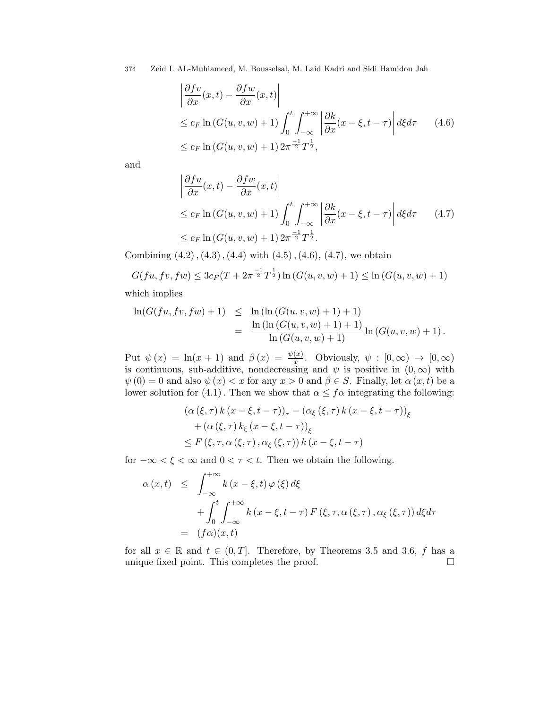$$
\begin{aligned}\n\left| \frac{\partial f v}{\partial x}(x, t) - \frac{\partial f w}{\partial x}(x, t) \right| \\
&\leq c_F \ln \left( G(u, v, w) + 1 \right) \int_0^t \int_{-\infty}^{+\infty} \left| \frac{\partial k}{\partial x}(x - \xi, t - \tau) \right| d\xi d\tau \qquad (4.6) \\
&\leq c_F \ln \left( G(u, v, w) + 1 \right) 2\pi^{\frac{-1}{2}} T^{\frac{1}{2}},\n\end{aligned}
$$

and

$$
\begin{aligned}\n\left| \frac{\partial f u}{\partial x}(x, t) - \frac{\partial f w}{\partial x}(x, t) \right| \\
\leq c_F \ln \left( G(u, v, w) + 1 \right) \int_0^t \int_{-\infty}^{+\infty} \left| \frac{\partial k}{\partial x}(x - \xi, t - \tau) \right| d\xi d\tau \qquad (4.7) \\
\leq c_F \ln \left( G(u, v, w) + 1 \right) 2\pi^{\frac{-1}{2}} T^{\frac{1}{2}}.\n\end{aligned}
$$

Combining  $(4.2), (4.3), (4.4)$  with  $(4.5), (4.6), (4.7)$ , we obtain

$$
G(fu, fv, fw) \leq 3c_F(T + 2\pi^{\frac{-1}{2}}T^{\frac{1}{2}}) \ln(G(u, v, w) + 1) \leq \ln(G(u, v, w) + 1)
$$

which implies

$$
\ln(G(fu, fv, fw) + 1) \leq \ln(\ln(G(u, v, w) + 1) + 1)
$$
  
= 
$$
\frac{\ln(\ln(G(u, v, w) + 1) + 1)}{\ln(G(u, v, w) + 1)} \ln(G(u, v, w) + 1).
$$

Put  $\psi(x) = \ln(x+1)$  and  $\beta(x) = \frac{\psi(x)}{x}$ . Obviously,  $\psi : [0, \infty) \to [0, \infty)$ is continuous, sub-additive, nondecreasing and  $\psi$  is positive in  $(0, \infty)$  with  $\psi(0) = 0$  and also  $\psi(x) < x$  for any  $x > 0$  and  $\beta \in S$ . Finally, let  $\alpha(x, t)$  be a lower solution for (4.1). Then we show that  $\alpha \leq f\alpha$  integrating the following:

$$
(\alpha (\xi, \tau) k (x - \xi, t - \tau))_{\tau} - (\alpha_{\xi} (\xi, \tau) k (x - \xi, t - \tau))_{\xi}
$$
  
+ 
$$
(\alpha (\xi, \tau) k_{\xi} (x - \xi, t - \tau))_{\xi}
$$
  
\$\leq F (\xi, \tau, \alpha (\xi, \tau), \alpha\_{\xi} (\xi, \tau)) k (x - \xi, t - \tau)\$

for  $-\infty < \xi < \infty$  and  $0 < \tau < t$ . Then we obtain the following.

$$
\alpha(x,t) \leq \int_{-\infty}^{+\infty} k(x-\xi,t) \varphi(\xi) d\xi
$$
  
+ 
$$
\int_{0}^{t} \int_{-\infty}^{+\infty} k(x-\xi,t-\tau) F(\xi,\tau,\alpha(\xi,\tau),\alpha_{\xi}(\xi,\tau)) d\xi d\tau
$$
  
= 
$$
(f\alpha)(x,t)
$$

for all  $x \in \mathbb{R}$  and  $t \in (0, T]$ . Therefore, by Theorems 3.5 and 3.6, f has a unique fixed point. This completes the proof.  $\Box$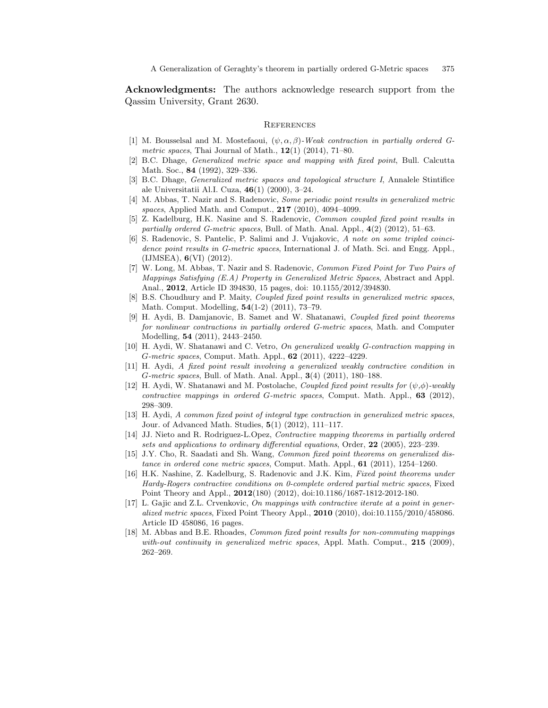Acknowledgments: The authors acknowledge research support from the Qassim University, Grant 2630.

#### **REFERENCES**

- [1] M. Bousselsal and M. Mostefaoui,  $(\psi, \alpha, \beta)$ -Weak contraction in partially ordered Gmetric spaces, Thai Journal of Math.,  $12(1)$  (2014), 71–80.
- [2] B.C. Dhage, Generalized metric space and mapping with fixed point, Bull. Calcutta Math. Soc., 84 (1992), 329–336.
- [3] B.C. Dhage, Generalized metric spaces and topological structure I, Annalele Stintifice ale Universitatii Al.I. Cuza, 46(1) (2000), 3–24.
- [4] M. Abbas, T. Nazir and S. Radenovic, Some periodic point results in generalized metric spaces, Applied Math. and Comput., **217** (2010), 4094–4099.
- [5] Z. Kadelburg, H.K. Nasine and S. Radenovic, Common coupled fixed point results in partially ordered G-metric spaces, Bull. of Math. Anal. Appl.,  $4(2)$  (2012), 51–63.
- [6] S. Radenovic, S. Pantelic, P. Salimi and J. Vujakovic, A note on some tripled coincidence point results in G-metric spaces, International J. of Math. Sci. and Engg. Appl., (IJMSEA), 6(VI) (2012).
- [7] W. Long, M. Abbas, T. Nazir and S. Radenovic, Common Fixed Point for Two Pairs of Mappings Satisfying (E.A) Property in Generalized Metric Spaces, Abstract and Appl. Anal., 2012, Article ID 394830, 15 pages, doi: 10.1155/2012/394830.
- [8] B.S. Choudhury and P. Maity, Coupled fixed point results in generalized metric spaces, Math. Comput. Modelling, 54(1-2) (2011), 73–79.
- [9] H. Aydi, B. Damjanovic, B. Samet and W. Shatanawi, Coupled fixed point theorems for nonlinear contractions in partially ordered G-metric spaces, Math. and Computer Modelling, 54 (2011), 2443–2450.
- [10] H. Aydi, W. Shatanawi and C. Vetro, On generalized weakly G-contraction mapping in G-metric spaces, Comput. Math. Appl., 62 (2011), 4222–4229.
- [11] H. Aydi, A fixed point result involving a generalized weakly contractive condition in G-metric spaces, Bull. of Math. Anal. Appl., 3(4) (2011), 180–188.
- [12] H. Aydi, W. Shatanawi and M. Postolache, *Coupled fixed point results for*  $(\psi, \phi)$ -weakly *contractive mappings in ordered G-metric spaces, Comput. Math. Appl., 63 (2012),* 298–309.
- [13] H. Aydi, A common fixed point of integral type contraction in generalized metric spaces, Jour. of Advanced Math. Studies, 5(1) (2012), 111–117.
- [14] JJ. Nieto and R. Rodriguez-L.Opez, Contractive mapping theorems in partially ordered sets and applications to ordinary differential equations, Order, 22 (2005), 223–239.
- [15] J.Y. Cho, R. Saadati and Sh. Wang, Common fixed point theorems on generalized distance in ordered cone metric spaces, Comput. Math. Appl., 61 (2011), 1254–1260.
- [16] H.K. Nashine, Z. Kadelburg, S. Radenovic and J.K. Kim, Fixed point theorems under Hardy-Rogers contractive conditions on 0-complete ordered partial metric spaces, Fixed Point Theory and Appl., 2012(180) (2012), doi:10.1186/1687-1812-2012-180.
- [17] L. Gajic and Z.L. Crvenkovic, On mappings with contractive iterate at a point in generalized metric spaces, Fixed Point Theory Appl., 2010 (2010), doi:10.1155/2010/458086. Article ID 458086, 16 pages.
- [18] M. Abbas and B.E. Rhoades, Common fixed point results for non-commuting mappings with-out continuity in generalized metric spaces, Appl. Math. Comput.,  $215$  (2009), 262–269.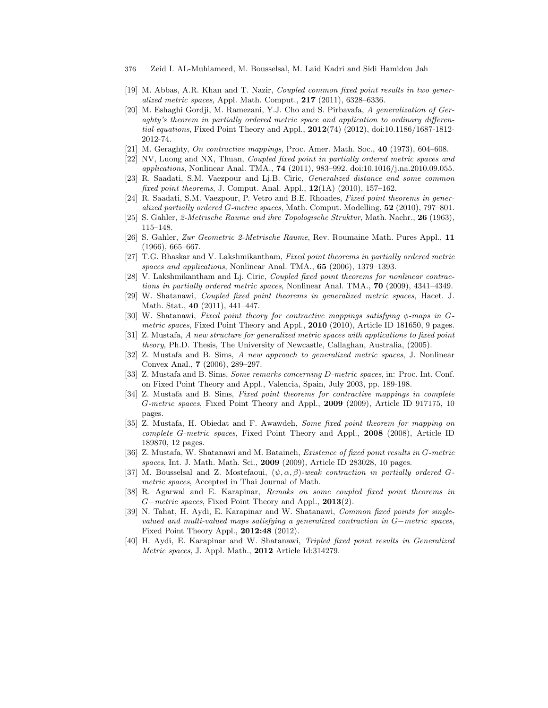- 376 Zeid I. AL-Muhiameed, M. Bousselsal, M. Laid Kadri and Sidi Hamidou Jah
- [19] M. Abbas, A.R. Khan and T. Nazir, Coupled common fixed point results in two generalized metric spaces, Appl. Math. Comput., 217 (2011), 6328–6336.
- [20] M. Eshaghi Gordji, M. Ramezani, Y.J. Cho and S. Pirbavafa, A generalization of Geraghty's theorem in partially ordered metric space and application to ordinary differential equations, Fixed Point Theory and Appl., 2012(74) (2012), doi:10.1186/1687-1812- 2012-74.
- [21] M. Geraghty, On contractive mappings, Proc. Amer. Math. Soc., 40 (1973), 604–608.
- [22] NV, Luong and NX, Thuan, Coupled fixed point in partially ordered metric spaces and applications, Nonlinear Anal. TMA., 74 (2011), 983–992. doi:10.1016/j.na.2010.09.055.
- [23] R. Saadati, S.M. Vaezpour and Lj.B. Ciric, Generalized distance and some common fixed point theorems, J. Comput. Anal. Appl.,  $12(1A)$  (2010), 157–162.
- [24] R. Saadati, S.M. Vaezpour, P. Vetro and B.E. Rhoades, Fixed point theorems in generalized partially ordered G-metric spaces, Math. Comput. Modelling, 52 (2010), 797–801.
- [25] S. Gahler, 2-Metrische Raume and ihre Topologische Struktur, Math. Nachr., 26 (1963), 115–148.
- [26] S. Gahler, Zur Geometric 2-Metrische Raume, Rev. Roumaine Math. Pures Appl., 11 (1966), 665–667.
- [27] T.G. Bhaskar and V. Lakshmikantham, Fixed point theorems in partially ordered metric spaces and applications, Nonlinear Anal. TMA., 65 (2006), 1379–1393.
- [28] V. Lakshmikantham and Lj. Ciric, Coupled fixed point theorems for nonlinear contractions in partially ordered metric spaces, Nonlinear Anal. TMA., 70 (2009), 4341–4349.
- [29] W. Shatanawi, Coupled fixed point theorems in generalized metric spaces, Hacet. J. Math. Stat., 40 (2011), 441–447.
- [30] W. Shatanawi, Fixed point theory for contractive mappings satisfying φ-maps in Gmetric spaces, Fixed Point Theory and Appl., 2010 (2010), Article ID 181650, 9 pages.
- [31] Z. Mustafa, A new structure for generalized metric spaces with applications to fixed point theory, Ph.D. Thesis, The University of Newcastle, Callaghan, Australia, (2005).
- [32] Z. Mustafa and B. Sims, A new approach to generalized metric spaces, J. Nonlinear Convex Anal., 7 (2006), 289–297.
- [33] Z. Mustafa and B. Sims, Some remarks concerning D-metric spaces, in: Proc. Int. Conf. on Fixed Point Theory and Appl., Valencia, Spain, July 2003, pp. 189-198.
- [34] Z. Mustafa and B. Sims, Fixed point theorems for contractive mappings in complete G-metric spaces, Fixed Point Theory and Appl., 2009 (2009), Article ID 917175, 10 pages.
- [35] Z. Mustafa, H. Obiedat and F. Awawdeh, Some fixed point theorem for mapping on complete G-metric spaces, Fixed Point Theory and Appl., 2008 (2008), Article ID 189870, 12 pages.
- [36] Z. Mustafa, W. Shatanawi and M. Bataineh, Existence of fixed point results in G-metric spaces, Int. J. Math. Math. Sci., 2009 (2009), Article ID 283028, 10 pages.
- [37] M. Bousselsal and Z. Mostefaoui,  $(\psi, \alpha, \beta)$ -weak contraction in partially ordered Gmetric spaces, Accepted in Thai Journal of Math.
- [38] R. Agarwal and E. Karapinar, Remaks on some coupled fixed point theorems in G−metric spaces, Fixed Point Theory and Appl., 2013(2).
- [39] N. Tahat, H. Aydi, E. Karapinar and W. Shatanawi, Common fixed points for singlevalued and multi-valued maps satisfying a generalized contraction in G−metric spaces, Fixed Point Theory Appl., 2012:48 (2012).
- [40] H. Aydi, E. Karapinar and W. Shatanawi, Tripled fixed point results in Generalized Metric spaces, J. Appl. Math., 2012 Article Id:314279.